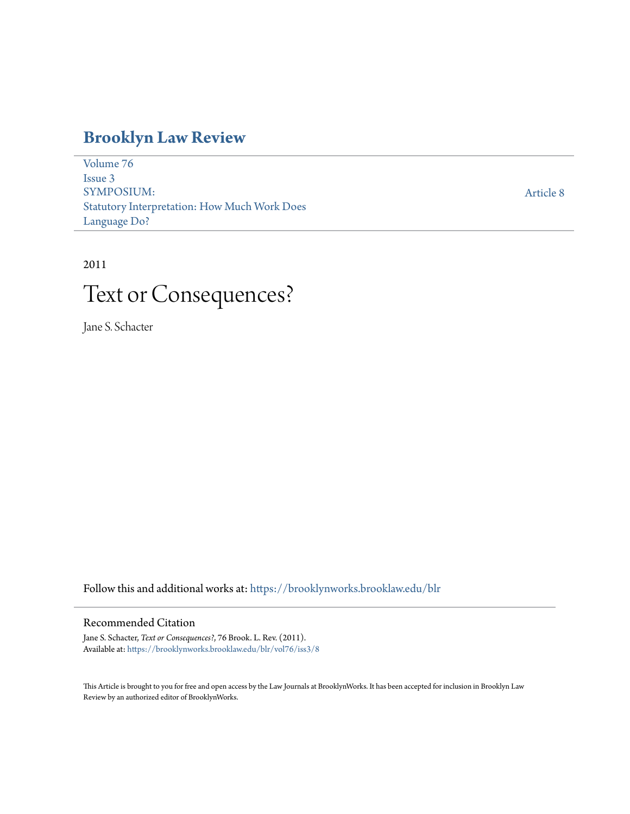# **[Brooklyn Law Review](https://brooklynworks.brooklaw.edu/blr?utm_source=brooklynworks.brooklaw.edu%2Fblr%2Fvol76%2Fiss3%2F8&utm_medium=PDF&utm_campaign=PDFCoverPages)**

[Volume 76](https://brooklynworks.brooklaw.edu/blr/vol76?utm_source=brooklynworks.brooklaw.edu%2Fblr%2Fvol76%2Fiss3%2F8&utm_medium=PDF&utm_campaign=PDFCoverPages) [Issue 3](https://brooklynworks.brooklaw.edu/blr/vol76/iss3?utm_source=brooklynworks.brooklaw.edu%2Fblr%2Fvol76%2Fiss3%2F8&utm_medium=PDF&utm_campaign=PDFCoverPages) SYMPOSIUM: Statutory Interpretation: How Much Work Does Language Do?

[Article 8](https://brooklynworks.brooklaw.edu/blr/vol76/iss3/8?utm_source=brooklynworks.brooklaw.edu%2Fblr%2Fvol76%2Fiss3%2F8&utm_medium=PDF&utm_campaign=PDFCoverPages)

## 2011

# Text or Consequences?

Jane S. Schacter

Follow this and additional works at: [https://brooklynworks.brooklaw.edu/blr](https://brooklynworks.brooklaw.edu/blr?utm_source=brooklynworks.brooklaw.edu%2Fblr%2Fvol76%2Fiss3%2F8&utm_medium=PDF&utm_campaign=PDFCoverPages)

### Recommended Citation

Jane S. Schacter, *Text or Consequences?*, 76 Brook. L. Rev. (2011). Available at: [https://brooklynworks.brooklaw.edu/blr/vol76/iss3/8](https://brooklynworks.brooklaw.edu/blr/vol76/iss3/8?utm_source=brooklynworks.brooklaw.edu%2Fblr%2Fvol76%2Fiss3%2F8&utm_medium=PDF&utm_campaign=PDFCoverPages)

This Article is brought to you for free and open access by the Law Journals at BrooklynWorks. It has been accepted for inclusion in Brooklyn Law Review by an authorized editor of BrooklynWorks.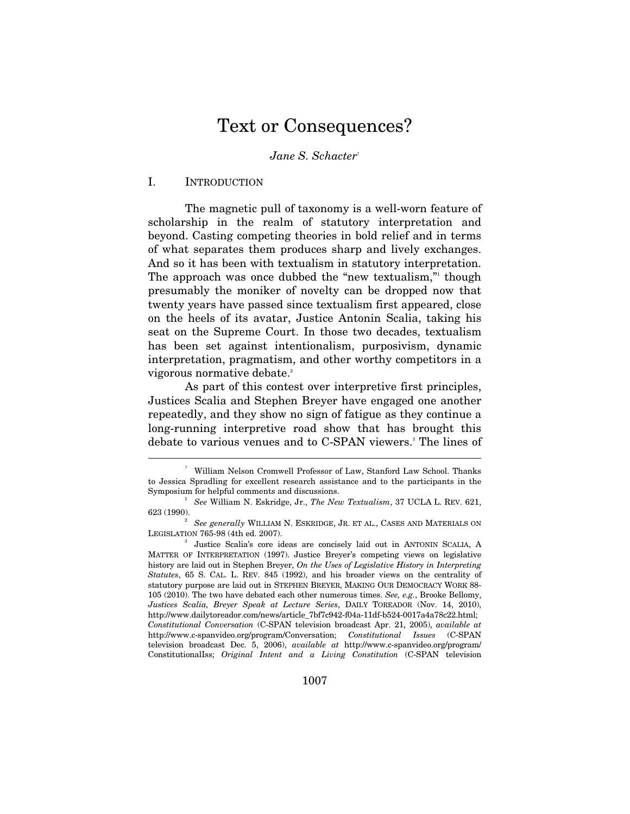# Text or Consequences?

*Jane S. Schacter*†

#### I. INTRODUCTION

The magnetic pull of taxonomy is a well-worn feature of scholarship in the realm of statutory interpretation and beyond. Casting competing theories in bold relief and in terms of what separates them produces sharp and lively exchanges. And so it has been with textualism in statutory interpretation. The approach was once dubbed the "new textualism," though presumably the moniker of novelty can be dropped now that twenty years have passed since textualism first appeared, close on the heels of its avatar, Justice Antonin Scalia, taking his seat on the Supreme Court. In those two decades, textualism has been set against intentionalism, purposivism, dynamic interpretation, pragmatism, and other worthy competitors in a vigorous normative debate.<sup>2</sup>

As part of this contest over interpretive first principles, Justices Scalia and Stephen Breyer have engaged one another repeatedly, and they show no sign of fatigue as they continue a long-running interpretive road show that has brought this debate to various venues and to C-SPAN viewers.<sup>3</sup> The lines of

<sup>†</sup> William Nelson Cromwell Professor of Law, Stanford Law School. Thanks to Jessica Spradling for excellent research assistance and to the participants in the Symposium for helpful comments and discussions. 1

*See* William N. Eskridge, Jr., *The New Textualism*, 37 UCLA L. REV. 621, 623 (1990). 2

*See generally* WILLIAM N. ESKRIDGE, JR. ET AL., CASES AND MATERIALS ON LEGISLATION 765-98 (4th ed. 2007).

Justice Scalia's core ideas are concisely laid out in ANTONIN SCALIA, A MATTER OF INTERPRETATION (1997). Justice Breyer's competing views on legislative history are laid out in Stephen Breyer, *On the Uses of Legislative History in Interpreting Statutes*, 65 S. CAL. L. REV. 845 (1992), and his broader views on the centrality of statutory purpose are laid out in STEPHEN BREYER, MAKING OUR DEMOCRACY WORK 88- 105 (2010). The two have debated each other numerous times. *See, e.g.*, Brooke Bellomy, *Justices Scalia, Breyer Speak at Lecture Series*, DAILY TOREADOR (Nov. 14, 2010), http://www.dailytoreador.com/news/article\_7bf7c942-f04a-11df-b524-0017a4a78c22.html; *Constitutional Conversation* (C-SPAN television broadcast Apr. 21, 2005), *available at* http://www.c-spanvideo.org/program/Conversation; *Constitutional Issues* (C-SPAN television broadcast Dec. 5, 2006), *available at* http://www.c-spanvideo.org/program/ ConstitutionalIss; *Original Intent and a Living Constitution* (C-SPAN television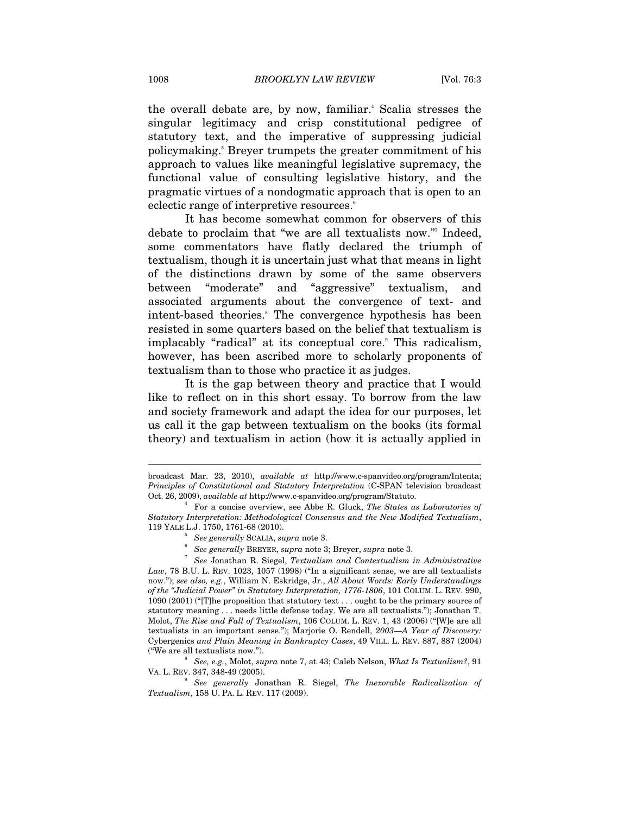the overall debate are, by now, familiar.<sup>4</sup> Scalia stresses the singular legitimacy and crisp constitutional pedigree of statutory text, and the imperative of suppressing judicial policymaking.<sup>5</sup> Breyer trumpets the greater commitment of his approach to values like meaningful legislative supremacy, the functional value of consulting legislative history, and the pragmatic virtues of a nondogmatic approach that is open to an eclectic range of interpretive resources.<sup>6</sup>

It has become somewhat common for observers of this debate to proclaim that "we are all textualists now."7 Indeed, some commentators have flatly declared the triumph of textualism, though it is uncertain just what that means in light of the distinctions drawn by some of the same observers between "moderate" and "aggressive" textualism, and associated arguments about the convergence of text- and intent-based theories.<sup>8</sup> The convergence hypothesis has been resisted in some quarters based on the belief that textualism is implacably "radical" at its conceptual core. This radicalism, however, has been ascribed more to scholarly proponents of textualism than to those who practice it as judges.

It is the gap between theory and practice that I would like to reflect on in this short essay. To borrow from the law and society framework and adapt the idea for our purposes, let us call it the gap between textualism on the books (its formal theory) and textualism in action (how it is actually applied in

 *See, e.g.*, Molot, *supra* note 7, at 43; Caleb Nelson, *What Is Textualism?*, 91 VA. L. REV. 347, 348-49 (2005).

broadcast Mar. 23, 2010), *available at* http://www.c-spanvideo.org/program/Intenta; *Principles of Constitutional and Statutory Interpretation* (C-SPAN television broadcast Oct. 26, 2009), *available at* http://www.c-spanvideo.org/program/Statuto. 4

For a concise overview, see Abbe R. Gluck, *The States as Laboratories of Statutory Interpretation: Methodological Consensus and the New Modified Textualism*, 119 YALE L.J. 1750, 1761-68 (2010).

 $5$  See generally SCALIA, supra note 3.

*See generally* BREYER, *supra* note 3; Breyer, *supra* note 3.

*See* Jonathan R. Siegel, *Textualism and Contextualism in Administrative*  Law, 78 B.U. L. REV. 1023, 1057 (1998) ("In a significant sense, we are all textualists now."); *see also, e.g.*, William N. Eskridge, Jr., *All About Words: Early Understandings of the "Judicial Power" in Statutory Interpretation, 1776-1806*, 101 COLUM. L. REV. 990, 1090 (2001) ("[T]he proposition that statutory text . . . ought to be the primary source of statutory meaning . . . needs little defense today. We are all textualists."); Jonathan T. Molot, *The Rise and Fall of Textualism*, 106 COLUM. L. REV. 1, 43 (2006) ("[W]e are all textualists in an important sense."); Marjorie O. Rendell, *2003—A Year of Discovery:*  Cybergenics *and Plain Meaning in Bankruptcy Cases*, 49 VILL. L. REV. 887, 887 (2004) ("We are all textualists now."). 8

<sup>9</sup> *See generally* Jonathan R. Siegel, *The Inexorable Radicalization of Textualism*, 158 U. PA. L. REV. 117 (2009).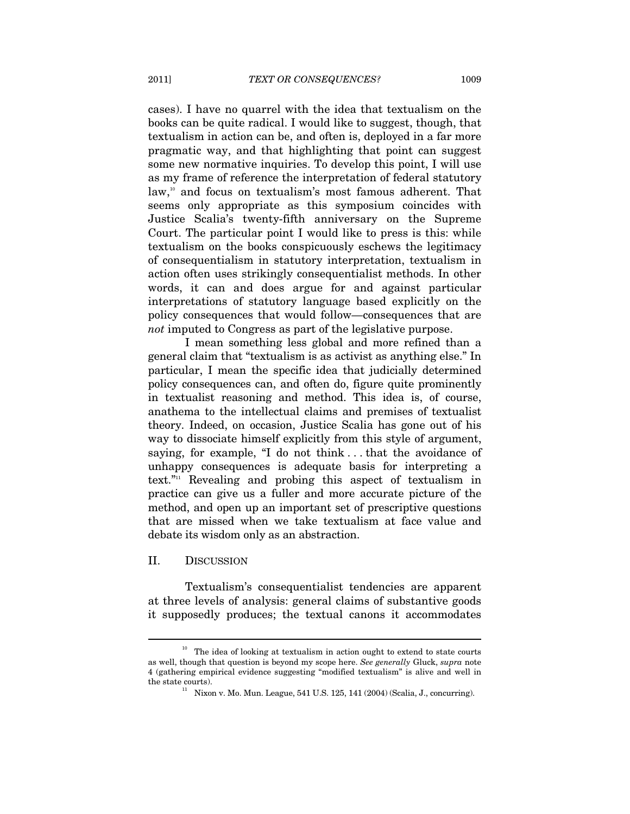cases). I have no quarrel with the idea that textualism on the books can be quite radical. I would like to suggest, though, that textualism in action can be, and often is, deployed in a far more pragmatic way, and that highlighting that point can suggest some new normative inquiries. To develop this point, I will use as my frame of reference the interpretation of federal statutory law,<sup>10</sup> and focus on textualism's most famous adherent. That seems only appropriate as this symposium coincides with Justice Scalia's twenty-fifth anniversary on the Supreme Court. The particular point I would like to press is this: while textualism on the books conspicuously eschews the legitimacy of consequentialism in statutory interpretation, textualism in action often uses strikingly consequentialist methods. In other words, it can and does argue for and against particular interpretations of statutory language based explicitly on the policy consequences that would follow—consequences that are *not* imputed to Congress as part of the legislative purpose.

I mean something less global and more refined than a general claim that "textualism is as activist as anything else." In particular, I mean the specific idea that judicially determined policy consequences can, and often do, figure quite prominently in textualist reasoning and method. This idea is, of course, anathema to the intellectual claims and premises of textualist theory. Indeed, on occasion, Justice Scalia has gone out of his way to dissociate himself explicitly from this style of argument, saying, for example, "I do not think . . . that the avoidance of unhappy consequences is adequate basis for interpreting a text."11 Revealing and probing this aspect of textualism in practice can give us a fuller and more accurate picture of the method, and open up an important set of prescriptive questions that are missed when we take textualism at face value and debate its wisdom only as an abstraction.

#### II. DISCUSSION

 $\overline{a}$ 

Textualism's consequentialist tendencies are apparent at three levels of analysis: general claims of substantive goods it supposedly produces; the textual canons it accommodates

 $10$  The idea of looking at textualism in action ought to extend to state courts as well, though that question is beyond my scope here. *See generally* Gluck, *supra* note 4 (gathering empirical evidence suggesting "modified textualism" is alive and well in the state courts).  $11$  Nixon v. Mo. Mun. League, 541 U.S. 125, 141 (2004) (Scalia, J., concurring).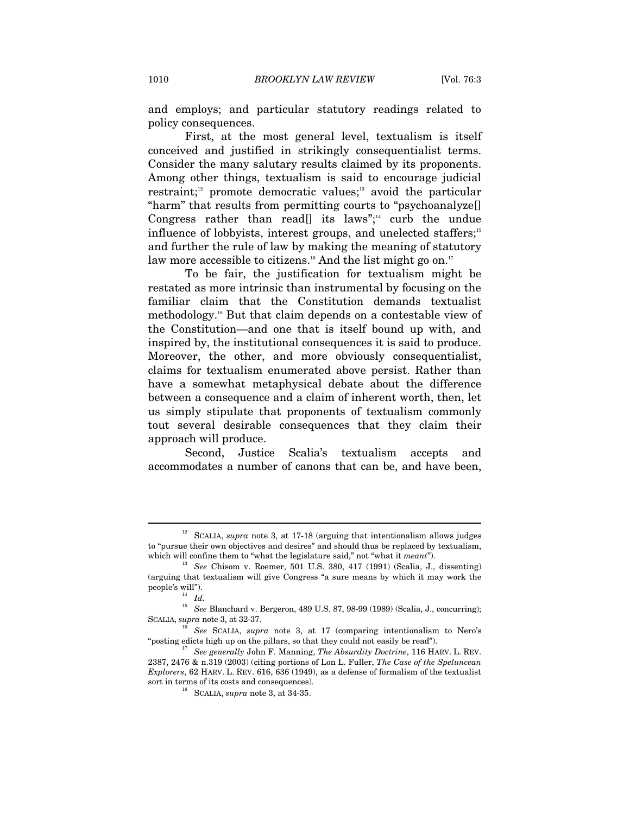and employs; and particular statutory readings related to policy consequences.

First, at the most general level, textualism is itself conceived and justified in strikingly consequentialist terms. Consider the many salutary results claimed by its proponents. Among other things, textualism is said to encourage judicial restraint;<sup>12</sup> promote democratic values;<sup>13</sup> avoid the particular "harm" that results from permitting courts to "psychoanalyze[] Congress rather than read<sup>[]</sup> its laws";<sup>14</sup> curb the undue influence of lobbyists, interest groups, and unelected staffers;<sup>15</sup> and further the rule of law by making the meaning of statutory law more accessible to citizens.<sup>16</sup> And the list might go on.<sup>17</sup>

To be fair, the justification for textualism might be restated as more intrinsic than instrumental by focusing on the familiar claim that the Constitution demands textualist methodology.18 But that claim depends on a contestable view of the Constitution—and one that is itself bound up with, and inspired by, the institutional consequences it is said to produce. Moreover, the other, and more obviously consequentialist, claims for textualism enumerated above persist. Rather than have a somewhat metaphysical debate about the difference between a consequence and a claim of inherent worth, then, let us simply stipulate that proponents of textualism commonly tout several desirable consequences that they claim their approach will produce.

Second, Justice Scalia's textualism accepts and accommodates a number of canons that can be, and have been,

<sup>12</sup> SCALIA, *supra* note 3, at 17-18 (arguing that intentionalism allows judges to "pursue their own objectives and desires" and should thus be replaced by textualism,

which will confine them to "what the legislature said," not "what it *meant*").<br><sup>13</sup> See Chisom v. Roemer, 501 U.S. 380, 417 (1991) (Scalia, J., dissenting) (arguing that textualism will give Congress "a sure means by which it may work the people's will").

<sup>15</sup> *See* Blanchard v. Bergeron, 489 U.S. 87, 98-99 (1989) (Scalia, J., concurring); SCALIA, *supra* note 3, at 32-37.<br><sup>16</sup> *See* SCALIA, *supra* note 3, at 17 (comparing intentionalism to Nero's

<sup>&</sup>quot;posting edicts high up on the pillars, so that they could not easily be read"). 17 *See generally* John F. Manning, *The Absurdity Doctrine*, 116 HARV. L. REV.

<sup>2387, 2476 &</sup>amp; n.319 (2003) (citing portions of Lon L. Fuller, *The Case of the Speluncean Explorers*, 62 HARV. L. REV. 616, 636 (1949), as a defense of formalism of the textualist sort in terms of its costs and consequences). 18 SCALIA, *supra* note 3, at 34-35.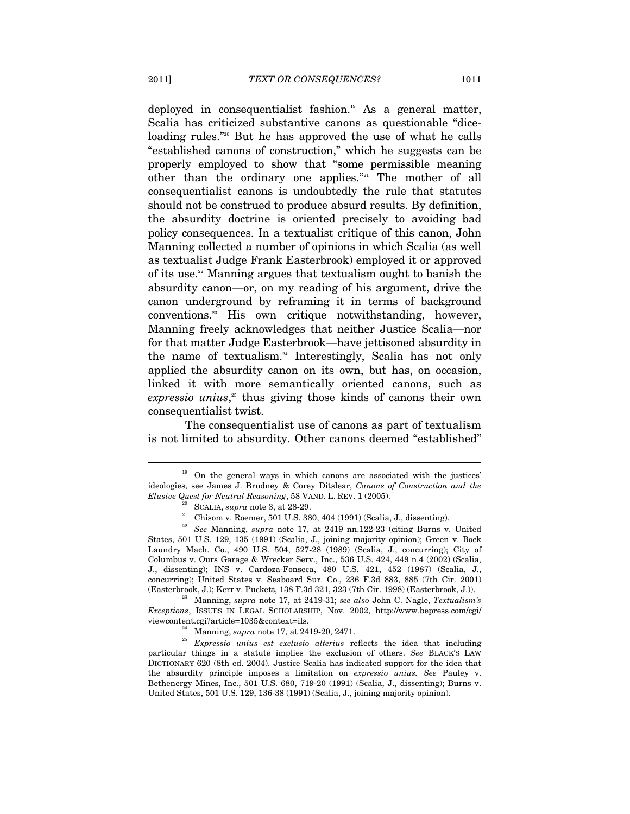deployed in consequentialist fashion.<sup>19</sup> As a general matter, Scalia has criticized substantive canons as questionable "diceloading rules."<sup>20</sup> But he has approved the use of what he calls "established canons of construction," which he suggests can be properly employed to show that "some permissible meaning other than the ordinary one applies."21 The mother of all consequentialist canons is undoubtedly the rule that statutes should not be construed to produce absurd results. By definition, the absurdity doctrine is oriented precisely to avoiding bad policy consequences. In a textualist critique of this canon, John Manning collected a number of opinions in which Scalia (as well as textualist Judge Frank Easterbrook) employed it or approved of its use.<sup>22</sup> Manning argues that textualism ought to banish the absurdity canon—or, on my reading of his argument, drive the canon underground by reframing it in terms of background conventions.23 His own critique notwithstanding, however, Manning freely acknowledges that neither Justice Scalia—nor for that matter Judge Easterbrook—have jettisoned absurdity in the name of textualism.<sup>24</sup> Interestingly, Scalia has not only applied the absurdity canon on its own, but has, on occasion, linked it with more semantically oriented canons, such as *expressio unius*, 25 thus giving those kinds of canons their own consequentialist twist.

The consequentialist use of canons as part of textualism is not limited to absurdity. Other canons deemed "established"

*Exceptions*, ISSUES IN LEGAL SCHOLARSHIP, Nov. 2002, http://www.bepress.com/cgi/ viewcontent.cgi?article=1035&context=ils. 24 Manning, *supra* note 17, at 2419-20, 2471.

<sup>&</sup>lt;sup>19</sup> On the general ways in which canons are associated with the justices' ideologies, see James J. Brudney & Corey Ditslear, *Canons of Construction and the* 

<sup>&</sup>lt;sup>20</sup> SCALIA, *supra* note 3, at 28-29.<br><sup>21</sup> Chisom v. Roemer, 501 U.S. 380, 404 (1991) (Scalia, J., dissenting).

<sup>22</sup> *See* Manning, *supra* note 17, at 2419 nn.122-23 (citing Burns v. United States, 501 U.S. 129, 135 (1991) (Scalia, J., joining majority opinion); Green v. Bock Laundry Mach. Co., 490 U.S. 504, 527-28 (1989) (Scalia, J., concurring); City of Columbus v. Ours Garage & Wrecker Serv., Inc., 536 U.S. 424, 449 n.4 (2002) (Scalia, J., dissenting); INS v. Cardoza-Fonseca, 480 U.S. 421, 452 (1987) (Scalia, J., concurring); United States v. Seaboard Sur. Co., 236 F.3d 883, 885 (7th Cir. 2001) (Easterbrook, J.); Kerr v. Puckett, 138 F.3d 321, 323 (7th Cir. 1998) (Easterbrook, J.)). 23 Manning, *supra* note 17, at 2419-31; *see also* John C. Nagle, *Textualism's* 

<sup>25</sup> *Expressio unius est exclusio alterius* reflects the idea that including particular things in a statute implies the exclusion of others. *See* BLACK'S LAW DICTIONARY 620 (8th ed. 2004). Justice Scalia has indicated support for the idea that the absurdity principle imposes a limitation on *expressio unius. See* Pauley v. Bethenergy Mines, Inc., 501 U.S. 680, 719-20 (1991) (Scalia, J., dissenting); Burns v. United States, 501 U.S. 129, 136-38 (1991) (Scalia, J., joining majority opinion).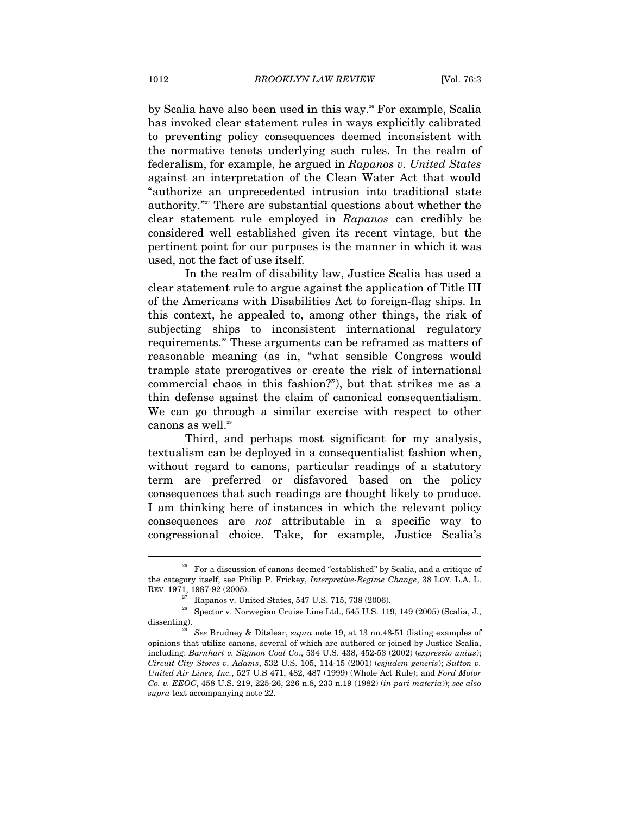by Scalia have also been used in this way.<sup>26</sup> For example, Scalia has invoked clear statement rules in ways explicitly calibrated to preventing policy consequences deemed inconsistent with the normative tenets underlying such rules. In the realm of federalism, for example, he argued in *Rapanos v. United States* against an interpretation of the Clean Water Act that would "authorize an unprecedented intrusion into traditional state authority."<sup>27</sup> There are substantial questions about whether the clear statement rule employed in *Rapanos* can credibly be considered well established given its recent vintage, but the pertinent point for our purposes is the manner in which it was used, not the fact of use itself.

In the realm of disability law, Justice Scalia has used a clear statement rule to argue against the application of Title III of the Americans with Disabilities Act to foreign-flag ships. In this context, he appealed to, among other things, the risk of subjecting ships to inconsistent international regulatory requirements.<sup>28</sup> These arguments can be reframed as matters of reasonable meaning (as in, "what sensible Congress would trample state prerogatives or create the risk of international commercial chaos in this fashion?"), but that strikes me as a thin defense against the claim of canonical consequentialism. We can go through a similar exercise with respect to other canons as well.<sup>29</sup>

Third, and perhaps most significant for my analysis, textualism can be deployed in a consequentialist fashion when, without regard to canons, particular readings of a statutory term are preferred or disfavored based on the policy consequences that such readings are thought likely to produce. I am thinking here of instances in which the relevant policy consequences are *not* attributable in a specific way to congressional choice. Take, for example, Justice Scalia's

<sup>26</sup> For a discussion of canons deemed "established" by Scalia, and a critique of the category itself, see Philip P. Frickey, *Interpretive-Regime Change*, 38 LOY. L.A. L. REV. 1971, 1987-92 (2005). 27 Rapanos v. United States, 547 U.S. 715, 738 (2006).

<sup>&</sup>lt;sup>28</sup> Spector v. Norwegian Cruise Line Ltd., 545 U.S. 119, 149 (2005) (Scalia, J., dissenting). 29 *See* Brudney & Ditslear, *supra* note 19, at 13 nn.48-51 (listing examples of

opinions that utilize canons, several of which are authored or joined by Justice Scalia, including: *Barnhart v. Sigmon Coal Co.*, 534 U.S. 438, 452-53 (2002) (*expressio unius*); *Circuit City Stores v. Adams*, 532 U.S. 105, 114-15 (2001) (*esjudem generis*); *Sutton v. United Air Lines, Inc.*, 527 U.S 471, 482, 487 (1999) (Whole Act Rule); and *Ford Motor Co. v. EEOC*, 458 U.S. 219, 225-26, 226 n.8, 233 n.19 (1982) (*in pari materia*)); *see also supra* text accompanying note 22.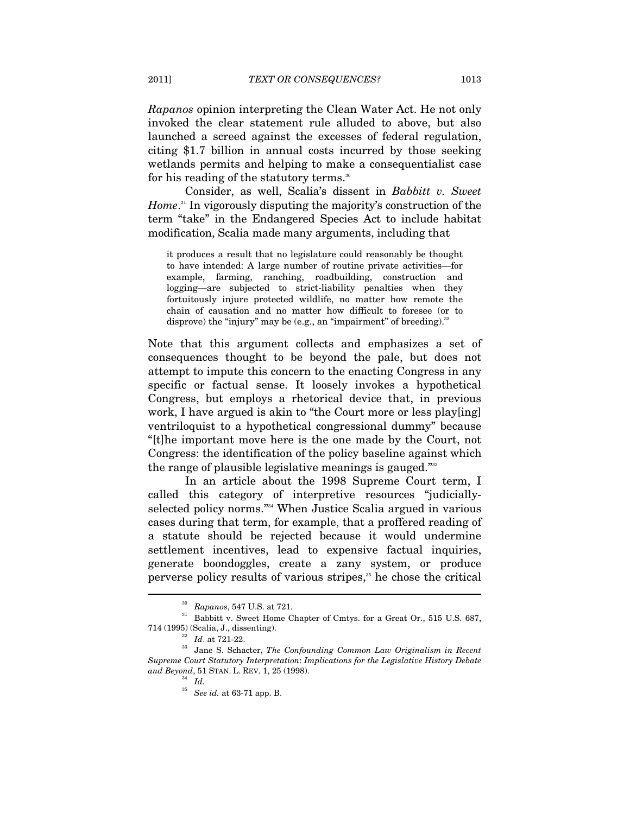*Rapanos* opinion interpreting the Clean Water Act. He not only invoked the clear statement rule alluded to above, but also launched a screed against the excesses of federal regulation, citing \$1.7 billion in annual costs incurred by those seeking wetlands permits and helping to make a consequentialist case for his reading of the statutory terms.<sup>30</sup>

Consider, as well, Scalia's dissent in *Babbitt v. Sweet Home*. 31 In vigorously disputing the majority's construction of the term "take" in the Endangered Species Act to include habitat modification, Scalia made many arguments, including that

it produces a result that no legislature could reasonably be thought to have intended: A large number of routine private activities—for example, farming, ranching, roadbuilding, construction and logging—are subjected to strict-liability penalties when they fortuitously injure protected wildlife, no matter how remote the chain of causation and no matter how difficult to foresee (or to disprove) the "injury" may be (e.g., an "impairment" of breeding). $32$ 

Note that this argument collects and emphasizes a set of consequences thought to be beyond the pale, but does not attempt to impute this concern to the enacting Congress in any specific or factual sense. It loosely invokes a hypothetical Congress, but employs a rhetorical device that, in previous work, I have argued is akin to "the Court more or less play[ing] ventriloquist to a hypothetical congressional dummy" because "[t]he important move here is the one made by the Court, not Congress: the identification of the policy baseline against which the range of plausible legislative meanings is gauged."<sup>33</sup>

In an article about the 1998 Supreme Court term, I called this category of interpretive resources "judiciallyselected policy norms."34 When Justice Scalia argued in various cases during that term, for example, that a proffered reading of a statute should be rejected because it would undermine settlement incentives, lead to expensive factual inquiries, generate boondoggles, create a zany system, or produce perverse policy results of various stripes, $*$  he chose the critical

l

<sup>&</sup>lt;sup>30</sup> Rapanos, 547 U.S. at 721.<br><sup>31</sup> Babbitt v. Sweet Home Chapter of Cmtys. for a Great Or., 515 U.S. 687,

<sup>714 (1995) (</sup>Scalia, J., dissenting). 32 *Id*. at 721-22. 33 Jane S. Schacter, *The Confounding Common Law Originalism in Recent Supreme Court Statutory Interpretation*: *Implications for the Legislative History Debate and Beyond*, 51 STAN. L. REV. 1, 25 (1998). 34 *Id.*

<sup>35</sup> *See id.* at 63-71 app. B.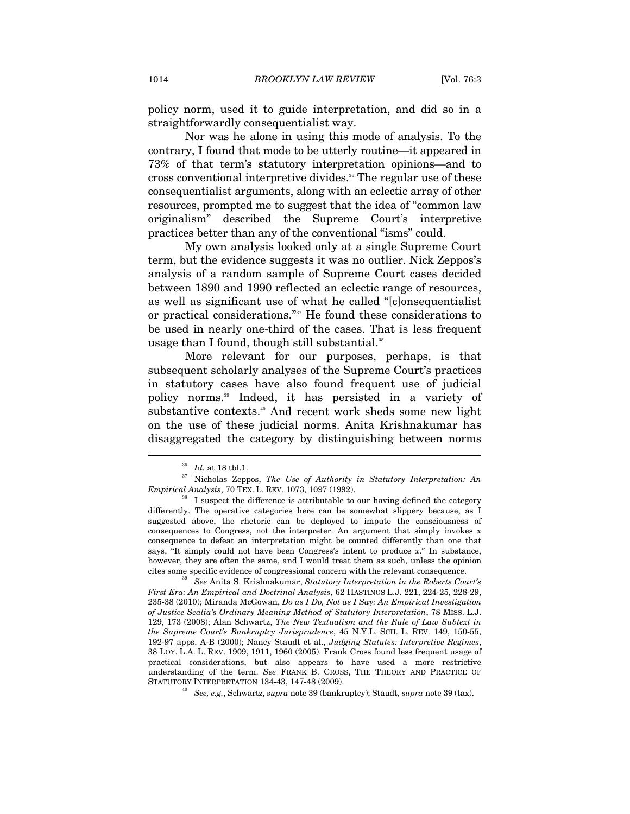policy norm, used it to guide interpretation, and did so in a straightforwardly consequentialist way.

Nor was he alone in using this mode of analysis. To the contrary, I found that mode to be utterly routine—it appeared in 73% of that term's statutory interpretation opinions—and to cross conventional interpretive divides.<sup>36</sup> The regular use of these consequentialist arguments, along with an eclectic array of other resources, prompted me to suggest that the idea of "common law originalism" described the Supreme Court's interpretive practices better than any of the conventional "isms" could.

My own analysis looked only at a single Supreme Court term, but the evidence suggests it was no outlier. Nick Zeppos's analysis of a random sample of Supreme Court cases decided between 1890 and 1990 reflected an eclectic range of resources, as well as significant use of what he called "[c]onsequentialist or practical considerations."37 He found these considerations to be used in nearly one-third of the cases. That is less frequent usage than I found, though still substantial.<sup>38</sup>

More relevant for our purposes, perhaps, is that subsequent scholarly analyses of the Supreme Court's practices in statutory cases have also found frequent use of judicial policy norms.39 Indeed, it has persisted in a variety of substantive contexts.<sup>40</sup> And recent work sheds some new light on the use of these judicial norms. Anita Krishnakumar has disaggregated the category by distinguishing between norms

 $\overline{a}$ 

cites some specific evidence of congressional concern with the relevant consequence. 39 *See* Anita S. Krishnakumar, *Statutory Interpretation in the Roberts Court's First Era: An Empirical and Doctrinal Analysis*, 62 HASTINGS L.J. 221, 224-25, 228-29, 235-38 (2010); Miranda McGowan, *Do as I Do, Not as I Say: An Empirical Investigation of Justice Scalia's Ordinary Meaning Method of Statutory Interpretation*, 78 MISS. L.J. 129, 173 (2008); Alan Schwartz, *The New Textualism and the Rule of Law Subtext in the Supreme Court's Bankruptcy Jurisprudence*, 45 N.Y.L. SCH. L. REV. 149, 150-55, 192-97 apps. A-B (2000); Nancy Staudt et al., *Judging Statutes: Interpretive Regimes*, 38 LOY. L.A. L. REV. 1909, 1911, 1960 (2005). Frank Cross found less frequent usage of practical considerations, but also appears to have used a more restrictive understanding of the term. *See* FRANK B. CROSS, THE THEORY AND PRACTICE OF STATUTORY INTERPRETATION 134-43, 147-48 (2009). 40 *See, e.g.*, Schwartz, *supra* note 39 (bankruptcy); Staudt, *supra* note 39 (tax).

<sup>&</sup>lt;sup>36</sup> *Id.* at 18 tbl.1.<br><sup>37</sup> Nicholas Zeppos, *The Use of Authority in Statutory Interpretation: An Empirical Analysis, 70 TEX. L. REV. 1073, 1097 (1992).* 

<sup>&</sup>lt;sup>3</sup> I suspect the difference is attributable to our having defined the category differently. The operative categories here can be somewhat slippery because, as I suggested above, the rhetoric can be deployed to impute the consciousness of consequences to Congress, not the interpreter. An argument that simply invokes *x* consequence to defeat an interpretation might be counted differently than one that says, "It simply could not have been Congress's intent to produce *x*." In substance, however, they are often the same, and I would treat them as such, unless the opinion cites some specific evidence of congressional concern with the relevant consequence.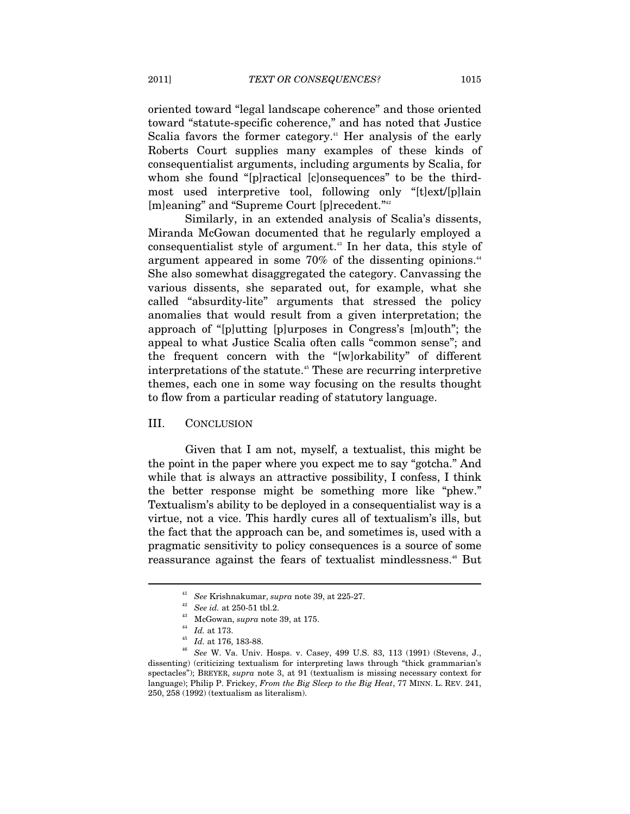oriented toward "legal landscape coherence" and those oriented toward "statute-specific coherence," and has noted that Justice Scalia favors the former category.<sup>41</sup> Her analysis of the early Roberts Court supplies many examples of these kinds of consequentialist arguments, including arguments by Scalia, for whom she found "[p]ractical [c]onsequences" to be the thirdmost used interpretive tool, following only "[t]ext/[p]lain [m]eaning" and "Supreme Court [p]recedent."42

Similarly, in an extended analysis of Scalia's dissents, Miranda McGowan documented that he regularly employed a consequentialist style of argument.43 In her data, this style of argument appeared in some  $70\%$  of the dissenting opinions.<sup>44</sup> She also somewhat disaggregated the category. Canvassing the various dissents, she separated out, for example, what she called "absurdity-lite" arguments that stressed the policy anomalies that would result from a given interpretation; the approach of "[p]utting [p]urposes in Congress's [m]outh"; the appeal to what Justice Scalia often calls "common sense"; and the frequent concern with the "[w]orkability" of different interpretations of the statute.<sup>45</sup> These are recurring interpretive themes, each one in some way focusing on the results thought to flow from a particular reading of statutory language.

### III. CONCLUSION

Given that I am not, myself, a textualist, this might be the point in the paper where you expect me to say "gotcha." And while that is always an attractive possibility, I confess, I think the better response might be something more like "phew." Textualism's ability to be deployed in a consequentialist way is a virtue, not a vice. This hardly cures all of textualism's ills, but the fact that the approach can be, and sometimes is, used with a pragmatic sensitivity to policy consequences is a source of some reassurance against the fears of textualist mindlessness.<sup>46</sup> But

<sup>&</sup>lt;sup>41</sup> See Krishnakumar, supra note 39, at 225-27.<br>
<sup>42</sup> See id. at 250-51 tbl.2.<br>
<sup>43</sup> McGowan, supra note 39, at 175.<br>
<sup>44</sup> Id. at 173.<br>
<sup>45</sup> Id. at 176, 183-88.<br>
<sup>46</sup> See W. Va. Univ. Hosps. v. Casey, 499 U.S. 83, 113 (1 dissenting) (criticizing textualism for interpreting laws through "thick grammarian's spectacles"); BREYER, *supra* note 3, at 91 (textualism is missing necessary context for language); Philip P. Frickey, *From the Big Sleep to the Big Heat*, 77 MINN. L. REV. 241, 250, 258 (1992) (textualism as literalism).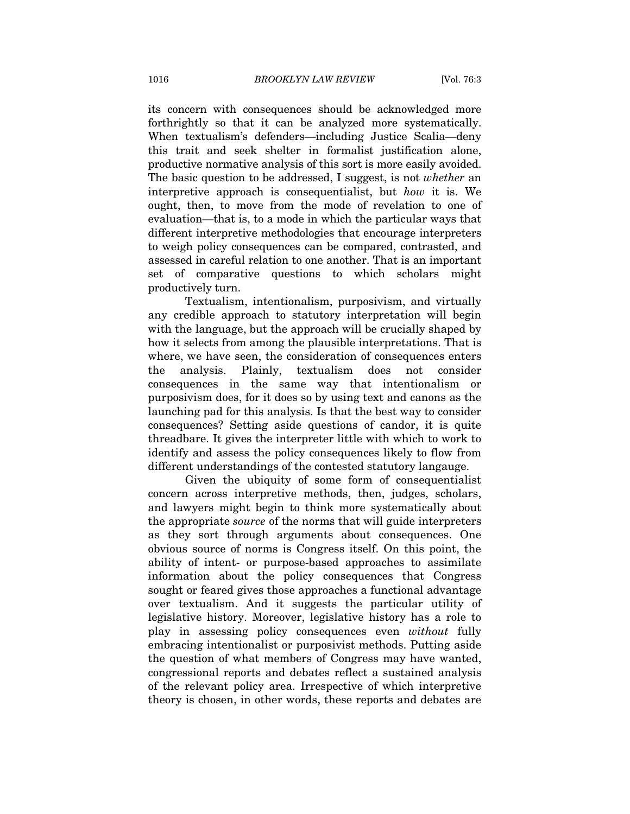its concern with consequences should be acknowledged more forthrightly so that it can be analyzed more systematically. When textualism's defenders—including Justice Scalia—deny this trait and seek shelter in formalist justification alone, productive normative analysis of this sort is more easily avoided. The basic question to be addressed, I suggest, is not *whether* an interpretive approach is consequentialist, but *how* it is. We ought, then, to move from the mode of revelation to one of evaluation—that is, to a mode in which the particular ways that different interpretive methodologies that encourage interpreters to weigh policy consequences can be compared, contrasted, and assessed in careful relation to one another. That is an important set of comparative questions to which scholars might productively turn.

Textualism, intentionalism, purposivism, and virtually any credible approach to statutory interpretation will begin with the language, but the approach will be crucially shaped by how it selects from among the plausible interpretations. That is where, we have seen, the consideration of consequences enters the analysis. Plainly, textualism does not consider consequences in the same way that intentionalism or purposivism does, for it does so by using text and canons as the launching pad for this analysis. Is that the best way to consider consequences? Setting aside questions of candor, it is quite threadbare. It gives the interpreter little with which to work to identify and assess the policy consequences likely to flow from different understandings of the contested statutory langauge.

Given the ubiquity of some form of consequentialist concern across interpretive methods, then, judges, scholars, and lawyers might begin to think more systematically about the appropriate *source* of the norms that will guide interpreters as they sort through arguments about consequences. One obvious source of norms is Congress itself. On this point, the ability of intent- or purpose-based approaches to assimilate information about the policy consequences that Congress sought or feared gives those approaches a functional advantage over textualism. And it suggests the particular utility of legislative history. Moreover, legislative history has a role to play in assessing policy consequences even *without* fully embracing intentionalist or purposivist methods. Putting aside the question of what members of Congress may have wanted, congressional reports and debates reflect a sustained analysis of the relevant policy area. Irrespective of which interpretive theory is chosen, in other words, these reports and debates are